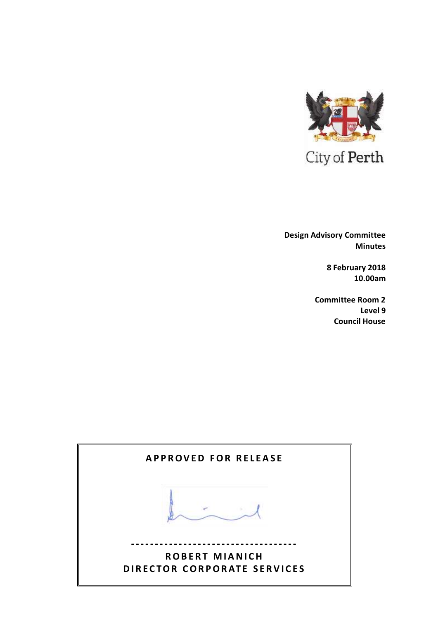

 **Design Advisory Committee Minutes**

> **8 February 2018 10.00am**

**Committee Room 2 Level 9 Council House**

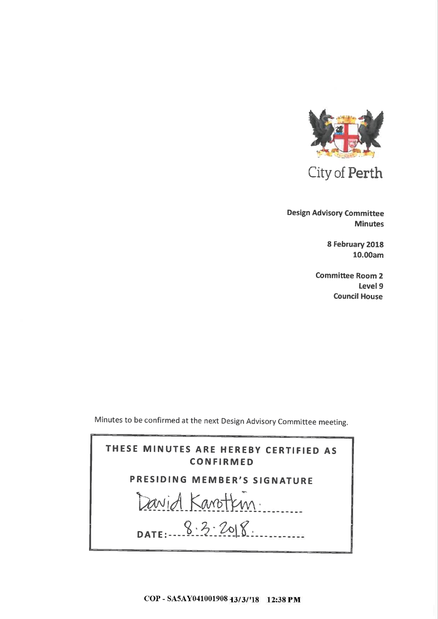

**Design Advisory Committee Minutes** 

> 8 February 2018 10.00am

**Committee Room 2** Level 9 **Council House** 

Minutes to be confirmed at the next Design Advisory Committee meeting.



COP - SA5AY041001908 13/3/'18 12:38 PM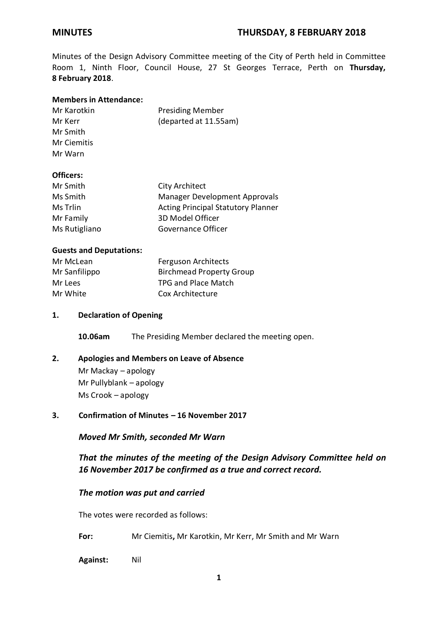Minutes of the Design Advisory Committee meeting of the City of Perth held in Committee Room 1, Ninth Floor, Council House, 27 St Georges Terrace, Perth on **Thursday, 8 February 2018**.

## **Members in Attendance:**

| Mr Karotkin | <b>Presiding Member</b> |
|-------------|-------------------------|
| Mr Kerr     | (departed at 11.55am)   |
| Mr Smith    |                         |
| .           |                         |

#### Mr Ciemitis Mr Warn

## **Officers:**

| Mr Smith      | City Architect                            |
|---------------|-------------------------------------------|
| Ms Smith      | <b>Manager Development Approvals</b>      |
| Ms Trlin      | <b>Acting Principal Statutory Planner</b> |
| Mr Family     | 3D Model Officer                          |
| Ms Rutigliano | Governance Officer                        |

## **Guests and Deputations:**

| Mr McLean     | <b>Ferguson Architects</b>      |  |
|---------------|---------------------------------|--|
| Mr Sanfilippo | <b>Birchmead Property Group</b> |  |
| Mr Lees       | <b>TPG and Place Match</b>      |  |
| Mr White      | Cox Architecture                |  |

## **1. Declaration of Opening**

**10.06am** The Presiding Member declared the meeting open.

## **2. Apologies and Members on Leave of Absence**

Mr Mackay – apology Mr Pullyblank – apology Ms Crook – apology

**3. Confirmation of Minutes – 16 November 2017**

*Moved Mr Smith, seconded Mr Warn*

*That the minutes of the meeting of the Design Advisory Committee held on 16 November 2017 be confirmed as a true and correct record.*

## *The motion was put and carried*

The votes were recorded as follows:

- **For:** Mr Ciemitis**,** Mr Karotkin, Mr Kerr, Mr Smith and Mr Warn
- **Against:** Nil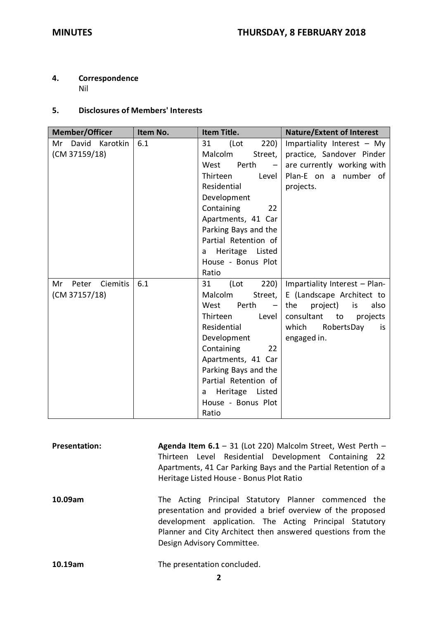## **4. Correspondence**

Nil

### **5. Disclosures of Members' Interests**

| <b>Member/Officer</b>                           | Item No. | Item Title.                                                                                                                                                                                                                                                                                  | <b>Nature/Extent of Interest</b>                                                                                                                                     |
|-------------------------------------------------|----------|----------------------------------------------------------------------------------------------------------------------------------------------------------------------------------------------------------------------------------------------------------------------------------------------|----------------------------------------------------------------------------------------------------------------------------------------------------------------------|
| David Karotkin<br>Mr<br>(CM 37159/18)           | 6.1      | (Lot<br>220)<br>31<br>Malcolm<br>Street,<br>West<br>Perth<br>$\overline{\phantom{m}}$<br>Thirteen<br>Level<br>Residential<br>Development<br>Containing<br>22<br>Apartments, 41 Car<br>Parking Bays and the<br>Partial Retention of<br>Heritage Listed<br>a<br>House - Bonus Plot<br>Ratio    | Impartiality Interest - My<br>practice, Sandover Pinder<br>are currently working with<br>Plan-E on a number of<br>projects.                                          |
| <b>Ciemitis</b><br>Mr<br>Peter<br>(CM 37157/18) | 6.1      | 220)<br>31<br>(Lot<br>Malcolm<br>Street,<br>West<br>Perth<br>$\overline{\phantom{m}}$<br>Thirteen<br>Level<br>Residential<br>Development<br>Containing<br>22<br>Apartments, 41 Car<br>Parking Bays and the<br>Partial Retention of<br>Heritage<br>Listed<br>a<br>House - Bonus Plot<br>Ratio | Impartiality Interest - Plan-<br>E (Landscape Architect to<br>the<br>project)<br>is<br>also<br>consultant to<br>projects<br>which<br>RobertsDay<br>is<br>engaged in. |

**Presentation: Agenda Item 6.1** – 31 (Lot 220) Malcolm Street, West Perth – Thirteen Level Residential Development Containing 22 Apartments, 41 Car Parking Bays and the Partial Retention of a Heritage Listed House - Bonus Plot Ratio

**10.09am** The Acting Principal Statutory Planner commenced the presentation and provided a brief overview of the proposed development application. The Acting Principal Statutory Planner and City Architect then answered questions from the Design Advisory Committee.

**10.19am** The presentation concluded.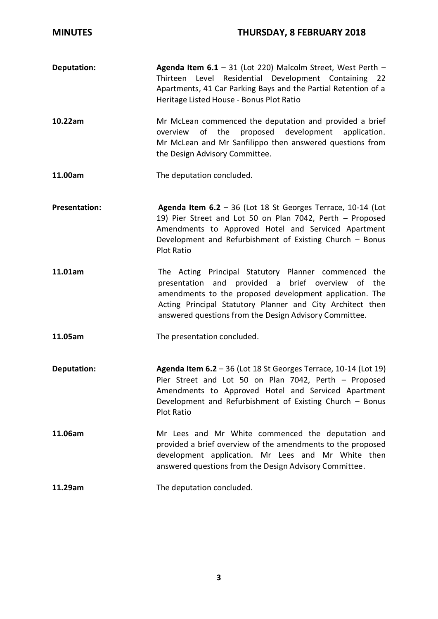- **Deputation: Agenda Item 6.1** 31 (Lot 220) Malcolm Street, West Perth -Thirteen Level Residential Development Containing 22 Apartments, 41 Car Parking Bays and the Partial Retention of a Heritage Listed House - Bonus Plot Ratio
- **10.22am** Mr McLean commenced the deputation and provided a brief overview of the proposed development application. Mr McLean and Mr Sanfilippo then answered questions from the Design Advisory Committee.
- **11.00am** The deputation concluded.
- **Presentation: Agenda Item 6.2** 36 (Lot 18 St Georges Terrace, 10-14 (Lot 19) Pier Street and Lot 50 on Plan 7042, Perth – Proposed Amendments to Approved Hotel and Serviced Apartment Development and Refurbishment of Existing Church – Bonus Plot Ratio
- **11.01am** The Acting Principal Statutory Planner commenced the presentation and provided a brief overview of the amendments to the proposed development application. The Acting Principal Statutory Planner and City Architect then answered questions from the Design Advisory Committee.
- **11.05am** The presentation concluded.
- **Deputation: Agenda Item 6.2** 36 (Lot 18 St Georges Terrace, 10-14 (Lot 19) Pier Street and Lot 50 on Plan 7042, Perth – Proposed Amendments to Approved Hotel and Serviced Apartment Development and Refurbishment of Existing Church – Bonus Plot Ratio
- **11.06am** Mr Lees and Mr White commenced the deputation and provided a brief overview of the amendments to the proposed development application. Mr Lees and Mr White then answered questions from the Design Advisory Committee.

**11.29am** The deputation concluded.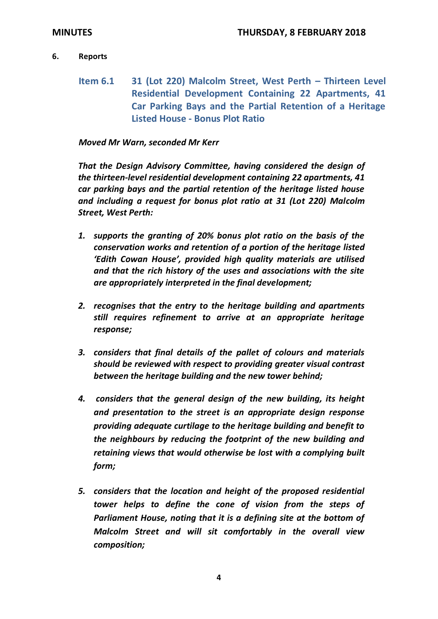## **6. Reports**

**Item 6.1 31 (Lot 220) Malcolm Street, West Perth – Thirteen Level Residential Development Containing 22 Apartments, 41 Car Parking Bays and the Partial Retention of a Heritage Listed House - Bonus Plot Ratio**

## *Moved Mr Warn, seconded Mr Kerr*

*That the Design Advisory Committee, having considered the design of the thirteen-level residential development containing 22 apartments, 41 car parking bays and the partial retention of the heritage listed house and including a request for bonus plot ratio at 31 (Lot 220) Malcolm Street, West Perth:*

- *1. supports the granting of 20% bonus plot ratio on the basis of the conservation works and retention of a portion of the heritage listed 'Edith Cowan House', provided high quality materials are utilised and that the rich history of the uses and associations with the site are appropriately interpreted in the final development;*
- *2. recognises that the entry to the heritage building and apartments still requires refinement to arrive at an appropriate heritage response;*
- *3. considers that final details of the pallet of colours and materials should be reviewed with respect to providing greater visual contrast between the heritage building and the new tower behind;*
- *4. considers that the general design of the new building, its height and presentation to the street is an appropriate design response providing adequate curtilage to the heritage building and benefit to the neighbours by reducing the footprint of the new building and retaining views that would otherwise be lost with a complying built form;*
- *5. considers that the location and height of the proposed residential tower helps to define the cone of vision from the steps of Parliament House, noting that it is a defining site at the bottom of Malcolm Street and will sit comfortably in the overall view composition;*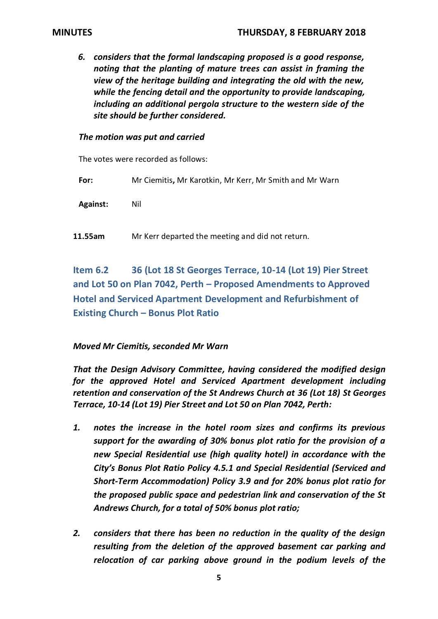*6. considers that the formal landscaping proposed is a good response, noting that the planting of mature trees can assist in framing the view of the heritage building and integrating the old with the new, while the fencing detail and the opportunity to provide landscaping, including an additional pergola structure to the western side of the site should be further considered.*

## *The motion was put and carried*

The votes were recorded as follows:

**For:** Mr Ciemitis**,** Mr Karotkin, Mr Kerr, Mr Smith and Mr Warn

**Against:** Nil

**11.55am** Mr Kerr departed the meeting and did not return.

**Item 6.2 36 (Lot 18 St Georges Terrace, 10-14 (Lot 19) Pier Street and Lot 50 on Plan 7042, Perth – Proposed Amendments to Approved Hotel and Serviced Apartment Development and Refurbishment of Existing Church – Bonus Plot Ratio**

## *Moved Mr Ciemitis, seconded Mr Warn*

*That the Design Advisory Committee, having considered the modified design for the approved Hotel and Serviced Apartment development including retention and conservation of the St Andrews Church at 36 (Lot 18) St Georges Terrace, 10-14 (Lot 19) Pier Street and Lot 50 on Plan 7042, Perth:*

- *1. notes the increase in the hotel room sizes and confirms its previous support for the awarding of 30% bonus plot ratio for the provision of a new Special Residential use (high quality hotel) in accordance with the City's Bonus Plot Ratio Policy 4.5.1 and Special Residential (Serviced and Short-Term Accommodation) Policy 3.9 and for 20% bonus plot ratio for the proposed public space and pedestrian link and conservation of the St Andrews Church, for a total of 50% bonus plot ratio;*
- *2. considers that there has been no reduction in the quality of the design resulting from the deletion of the approved basement car parking and relocation of car parking above ground in the podium levels of the*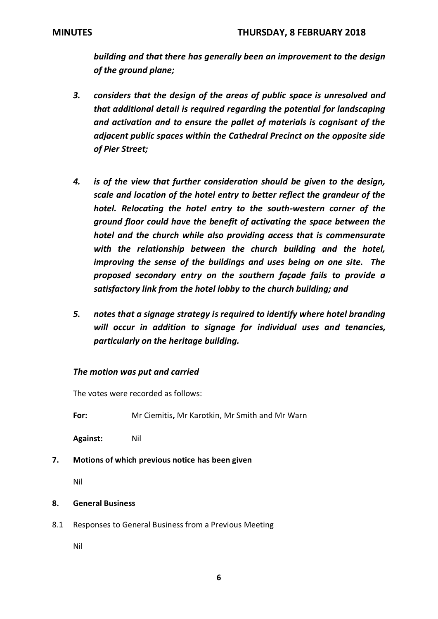*building and that there has generally been an improvement to the design of the ground plane;*

- *3. considers that the design of the areas of public space is unresolved and that additional detail is required regarding the potential for landscaping and activation and to ensure the pallet of materials is cognisant of the adjacent public spaces within the Cathedral Precinct on the opposite side of Pier Street;*
- *4. is of the view that further consideration should be given to the design, scale and location of the hotel entry to better reflect the grandeur of the hotel. Relocating the hotel entry to the south-western corner of the ground floor could have the benefit of activating the space between the hotel and the church while also providing access that is commensurate with the relationship between the church building and the hotel, improving the sense of the buildings and uses being on one site. The proposed secondary entry on the southern façade fails to provide a satisfactory link from the hotel lobby to the church building; and*
- *5. notes that a signage strategy is required to identify where hotel branding will occur in addition to signage for individual uses and tenancies, particularly on the heritage building.*

# *The motion was put and carried*

The votes were recorded as follows:

**For:** Mr Ciemitis**,** Mr Karotkin, Mr Smith and Mr Warn

**Against:** Nil

**7. Motions of which previous notice has been given**

Nil

### **8. General Business**

8.1 Responses to General Business from a Previous Meeting

Nil